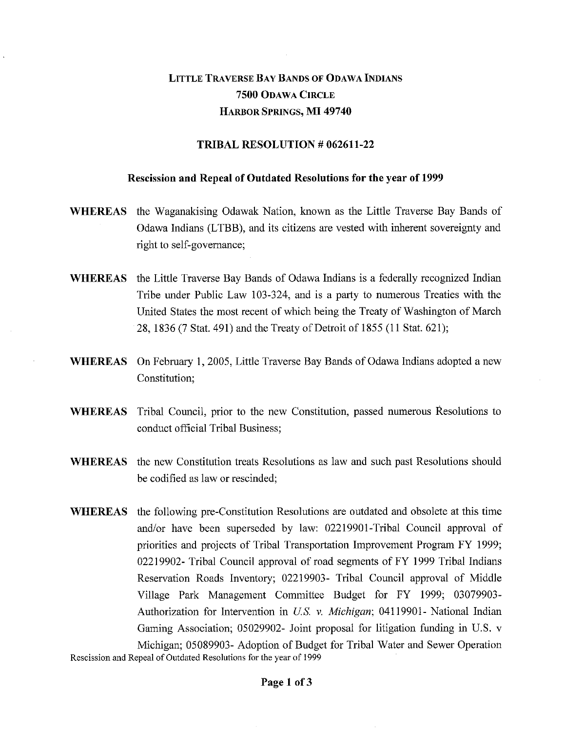## LITTLE TRAVERSE BAY BANDS OF ODAWA INDIANS **7500** ODAWA CIRCLE HARBOR SPRINGS, MI **49740**

## **TRIBAL RESOLUTION # 062611-22**

## **Rescission and Repeal of Outdated Resolutions for the year of 1999**

- **WHEREAS** the Waganakising Odawak Nation, known as the Little Traverse Bay Bands of Odawa Indians (LTBB), and its citizens are vested with inherent sovereignty and right to self-governance;
- **WHEREAS** the Little Traverse Bay Bands of Odawa Indians is a federally recognized Indian Tribe under Public Law 103-324, and is a party to numerous Treaties with the United States the most recent of which being the Treaty of Washington of March 28, 1836 (7 Stat. 491) and the Treaty of Detroit of 1855 (11 Stat. 621);
- **WHEREAS** On February 1, 2005, Little Traverse Bay Bands of Odawa Indians adopted a new Constitution;
- **WHEREAS** Tribal Council, prior to the new Constitution, passed numerous Resolutions to conduct official Tribal Business;
- **WHEREAS** the new Constitution treats Resolutions as law and such past Resolutions should be codified as law or rescinded;
- **WHEREAS** the following pre-Constitution Resolutions are outdated and obsolete at this time and/or have been superseded by law: 02219901-Tribal Council approval of priorities and projects of Tribal Transportation Improvement Program FY 1999; 02219902- Tribal Council approval of road segments of FY 1999 Tribal Indians Reservation Roads Inventory; 02219903- Tribal Council approval of Middle Village Park Management Committee Budget for FY 1999; 03079903- Authorization for Intervention in *U.S. v. Michigan;* 04119901- National Indian Gaming Association; 05029902- Joint proposal for litigation funding in U.S. v Michigan; 05089903- Adoption of Budget for Tribal Water and Sewer Operation

Rescission and Repeal of Outdated Resolutions for the year of 1999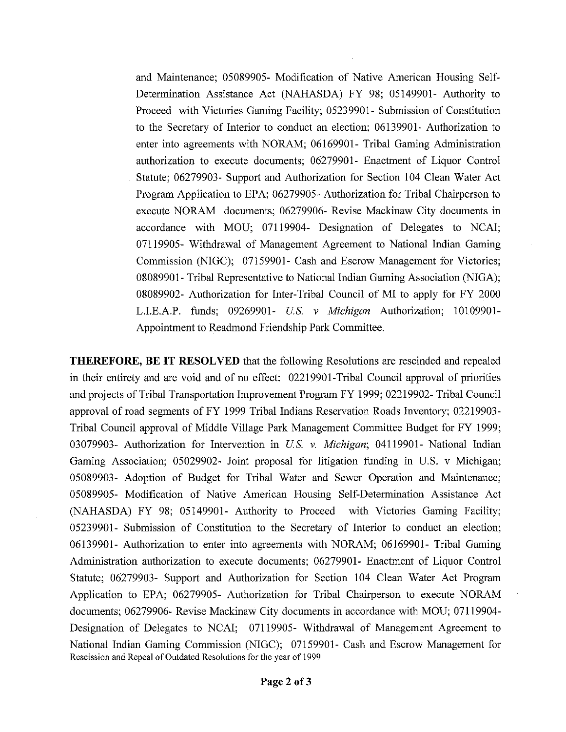and Maintenance; 05089905- Modification of Native American Housing Self-Determination Assistance Act (NAHASDA) FY 98; 05149901- Authority to Proceed with Victories Gaming Facility; 05239901- Submission of Constitution to the Secretary of Interior to conduct an election; 06139901- Authorization to enter into agreements with NORAM; 06169901- Tribal Gaming Administration authorization to execute documents; 06279901- Enactment of Liquor Control Statute; 06279903- Support and Authorization for Section 104 Clean Water Act Program Application to EPA; 06279905- Authorization for Tribal Chairperson to execute NORAM documents; 06279906- Revise Mackinaw City documents in accordance with MOU; 07119904- Designation of Delegates to NCAI; 07119905- Withdrawal of Management Agreement to National Indian Gaming Commission (NIGC); 07159901- Cash and Escrow Management for Victories; 08089901- Tribal Representative to National Indian Gaming Association (NIGA); 08089902- Authorization for Inter-Tribal Council of MI to apply for FY 2000 L.LE.A.P. funds; 09269901- *U.S. v Michigan* Authorization; 10109901- Appointment to Readmond Friendship Park Committee.

THEREFORE, BE IT RESOLVED that the following Resolutions are rescinded and repealed in their entirety and are void and of no effect: 02219901-Tribal Council approval of priorities and projects of Tribal Transportation Improvement Program FY 1999; 02219902- Tribal Council approval of road segments of FY 1999 Tribal Indians Reservation Roads Inventory; 02219903- Tribal Council approval of Middle Village Park Management Committee Budget for FY 1999; 03079903- Authorization for Intervention in *U.S. v. Michigan;* 04119901- National Indian Gaming Association; 05029902- Joint proposal for litigation funding in U.S. v Michigan; 05089903- Adoption of Budget for Tribal Water and Sewer Operation and Maintenance; 05089905- Modification of Native American Housing Self-Determination Assistance Act (NAHASDA) FY 98; 05149901- Authority to Proceed with Victories Gaming Facility; 05239901- Submission of Constitution to the Secretary of Interior to conduct an election; 06139901- Authorization to enter into agreements with NORAM; 06169901- Tribal Gaming Administration authorization to execute documents; 06279901- Enactment of Liquor Control Statute; 06279903- Support and Authorization for Section 104 Clean Water Act Program Application to EPA; 06279905- Authorization for Tribal Chairperson to execute NORAM documents; 06279906- Revise Mackinaw City documents in accordance with MOU; 07119904- Designation of Delegates to NCAI; 07119905- Withdrawal of Management Agreement to National Indian Gaming Commission (NIGC); 07159901- Cash and Escrow Management for Rescission and Repeal of Outdated Resolutions for the year of 1999